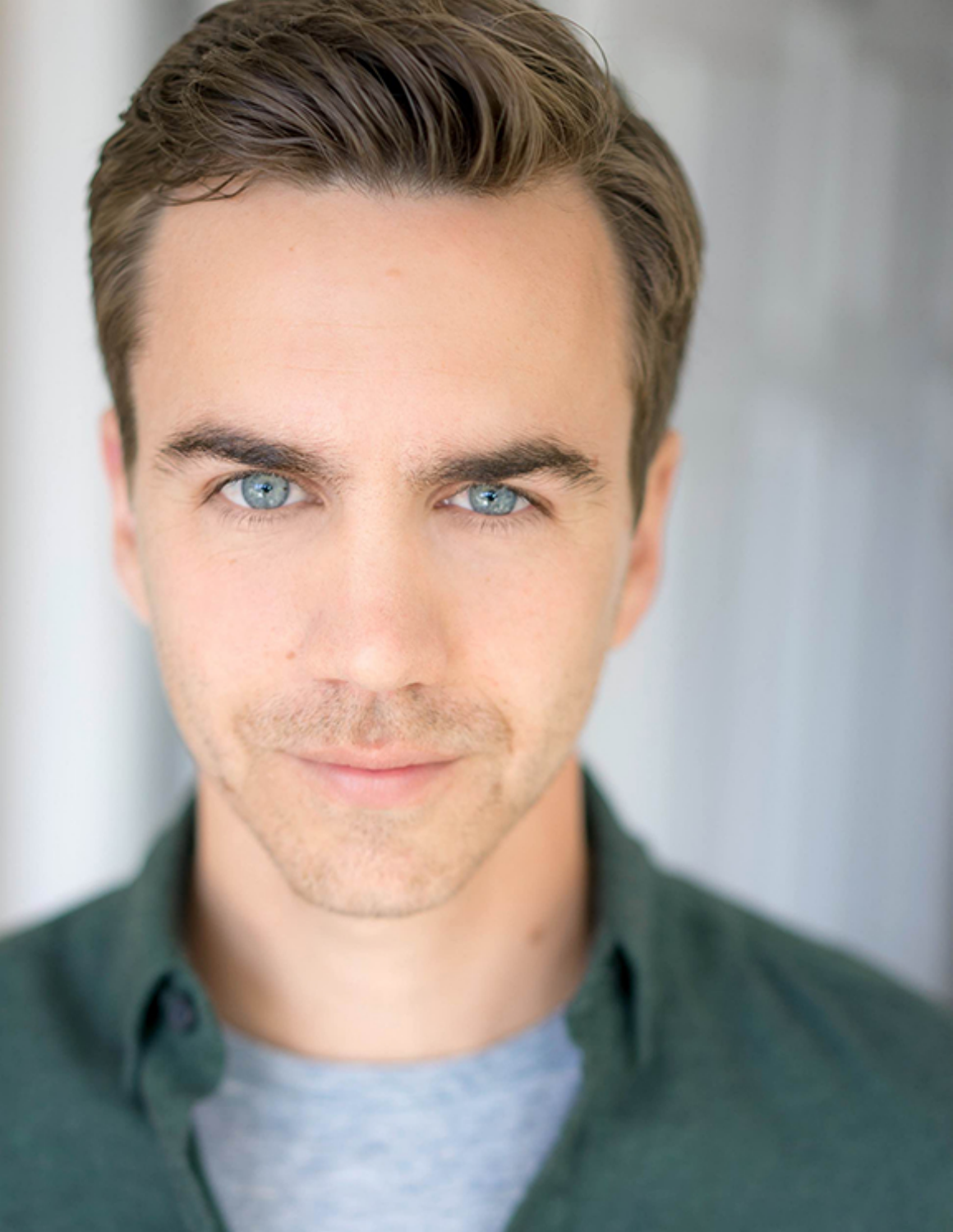